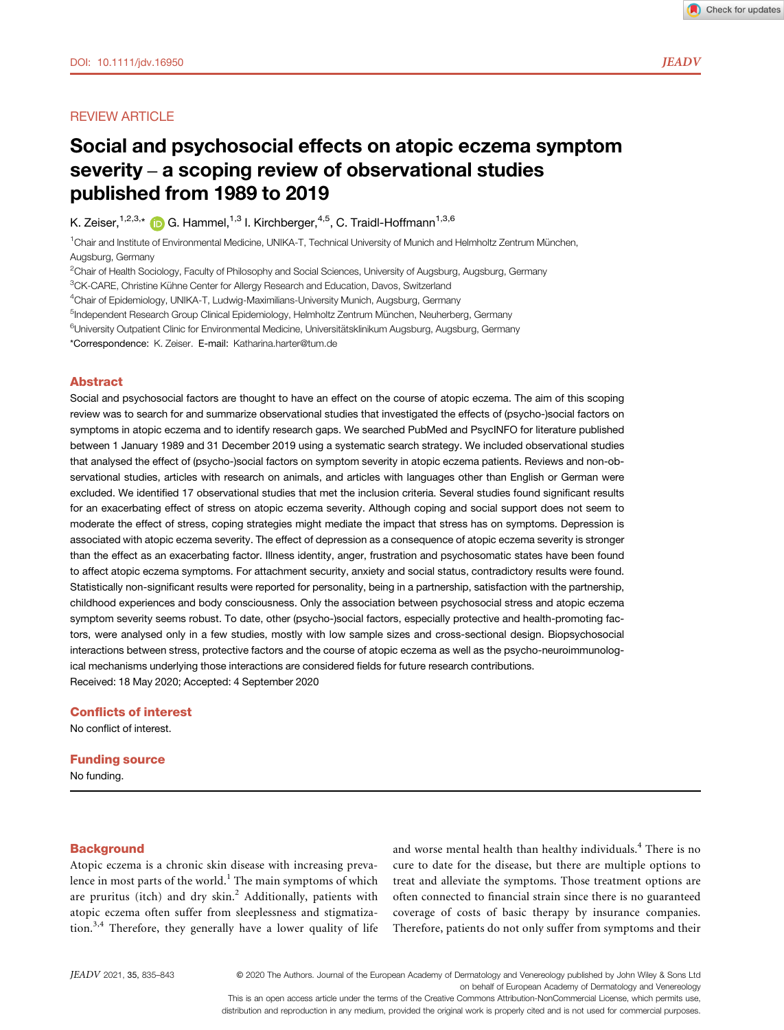# **REVIEW ARTICLE**

# Social and psychosocial effects on atopic eczema symptom severity – a scoping review of observational studies published from 1989 to 2019

K. Zeiser,  $1,2,3,*$  $1,2,3,*$  G. Hammel,  $1,3$  I. Kirchberger,  $4,5$ , C. Traidl-Hoffmann  $1,3,6$ 

<sup>1</sup>Chair and Institute of Environmental Medicine, UNIKA-T, Technical University of Munich and Helmholtz Zentrum München, Augsburg, Germany

<sup>2</sup>Chair of Health Sociology, Faculty of Philosophy and Social Sciences, University of Augsburg, Augsburg, Germany

<sup>3</sup>CK-CARE, Christine Kühne Center for Allergy Research and Education, Davos, Switzerland

<sup>4</sup>Chair of Epidemiology, UNIKA-T, Ludwig-Maximilians-University Munich, Augsburg, Germany

<sup>5</sup>Independent Research Group Clinical Epidemiology, Helmholtz Zentrum München, Neuherberg, Germany

<sup>6</sup>University Outpatient Clinic for Environmental Medicine, Universitätsklinikum Augsburg, Augsburg, Germany

\*Correspondence: K. Zeiser. E-mail: [Katharina.harter@tum.de](mailto:)

## Abstract

Social and psychosocial factors are thought to have an effect on the course of atopic eczema. The aim of this scoping review was to search for and summarize observational studies that investigated the effects of (psycho-)social factors on symptoms in atopic eczema and to identify research gaps. We searched PubMed and PsycINFO for literature published between 1 January 1989 and 31 December 2019 using a systematic search strategy. We included observational studies that analysed the effect of (psycho-)social factors on symptom severity in atopic eczema patients. Reviews and non-observational studies, articles with research on animals, and articles with languages other than English or German were excluded. We identified 17 observational studies that met the inclusion criteria. Several studies found significant results for an exacerbating effect of stress on atopic eczema severity. Although coping and social support does not seem to moderate the effect of stress, coping strategies might mediate the impact that stress has on symptoms. Depression is associated with atopic eczema severity. The effect of depression as a consequence of atopic eczema severity is stronger than the effect as an exacerbating factor. Illness identity, anger, frustration and psychosomatic states have been found to affect atopic eczema symptoms. For attachment security, anxiety and social status, contradictory results were found. Statistically non-significant results were reported for personality, being in a partnership, satisfaction with the partnership, childhood experiences and body consciousness. Only the association between psychosocial stress and atopic eczema symptom severity seems robust. To date, other (psycho-)social factors, especially protective and health-promoting factors, were analysed only in a few studies, mostly with low sample sizes and cross-sectional design. Biopsychosocial interactions between stress, protective factors and the course of atopic eczema as well as the psycho-neuroimmunological mechanisms underlying those interactions are considered fields for future research contributions. Received: 18 May 2020; Accepted: 4 September 2020

## Conflicts of interest

No conflict of interest.

#### Funding source

No funding.

#### **Background**

Atopic eczema is a chronic skin disease with increasing prevalence in most parts of the world.<sup>1</sup> The main symptoms of which are pruritus (itch) and dry skin.<sup>2</sup> Additionally, patients with atopic eczema often suffer from sleeplessness and stigmatization. $3,4$  Therefore, they generally have a lower quality of life and worse mental health than healthy individuals.<sup>4</sup> There is no cure to date for the disease, but there are multiple options to treat and alleviate the symptoms. Those treatment options are often connected to financial strain since there is no guaranteed coverage of costs of basic therapy by insurance companies. Therefore, patients do not only suffer from symptoms and their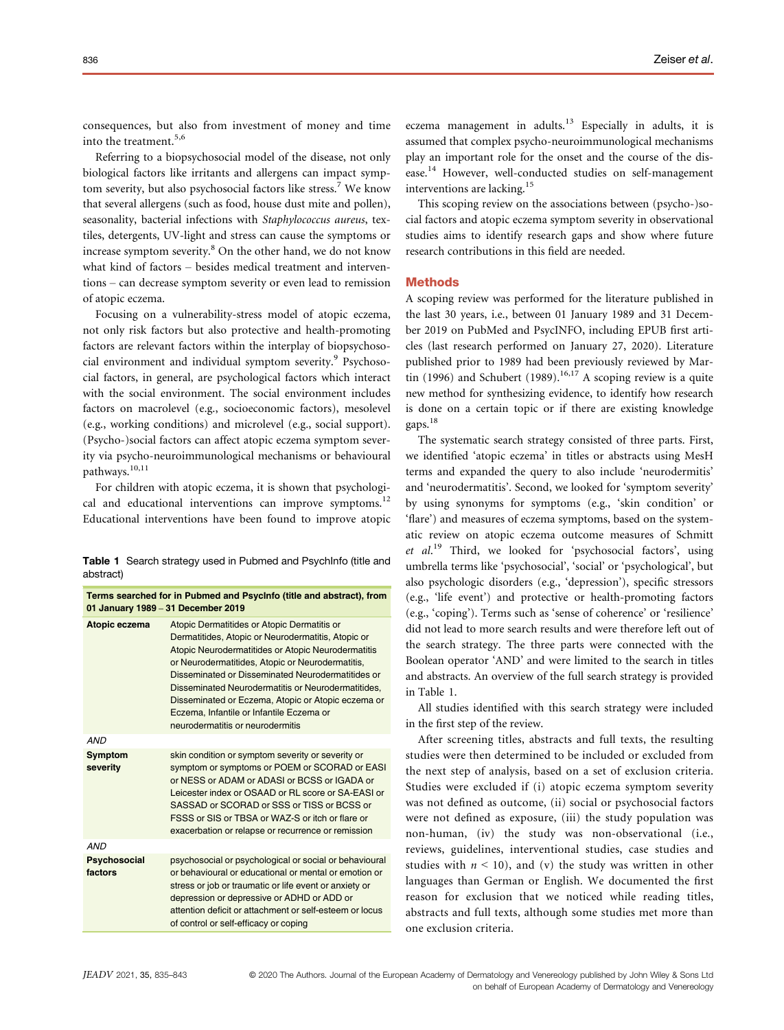consequences, but also from investment of money and time into the treatment.<sup>5,6</sup>

Referring to a biopsychosocial model of the disease, not only biological factors like irritants and allergens can impact symptom severity, but also psychosocial factors like stress.<sup>7</sup> We know that several allergens (such as food, house dust mite and pollen), seasonality, bacterial infections with Staphylococcus aureus, textiles, detergents, UV-light and stress can cause the symptoms or increase symptom severity.<sup>8</sup> On the other hand, we do not know what kind of factors – besides medical treatment and interventions – can decrease symptom severity or even lead to remission of atopic eczema.

Focusing on a vulnerability-stress model of atopic eczema, not only risk factors but also protective and health-promoting factors are relevant factors within the interplay of biopsychosocial environment and individual symptom severity.<sup>9</sup> Psychosocial factors, in general, are psychological factors which interact with the social environment. The social environment includes factors on macrolevel (e.g., socioeconomic factors), mesolevel (e.g., working conditions) and microlevel (e.g., social support). (Psycho-)social factors can affect atopic eczema symptom severity via psycho-neuroimmunological mechanisms or behavioural pathways.<sup>10,11</sup>

For children with atopic eczema, it is shown that psychological and educational interventions can improve symptoms.<sup>12</sup> Educational interventions have been found to improve atopic

Table 1 Search strategy used in Pubmed and PsychInfo (title and abstract)

| Terms searched for in Pubmed and Psycinfo (title and abstract), from<br>01 January 1989 - 31 December 2019 |                                                                                                                                                                                                                                                                                                                                                                                                                                                              |  |  |  |  |  |
|------------------------------------------------------------------------------------------------------------|--------------------------------------------------------------------------------------------------------------------------------------------------------------------------------------------------------------------------------------------------------------------------------------------------------------------------------------------------------------------------------------------------------------------------------------------------------------|--|--|--|--|--|
| Atopic eczema                                                                                              | Atopic Dermatitides or Atopic Dermatitis or<br>Dermatitides, Atopic or Neurodermatitis, Atopic or<br>Atopic Neurodermatitides or Atopic Neurodermatitis<br>or Neurodermatitides, Atopic or Neurodermatitis,<br>Disseminated or Disseminated Neurodermatitides or<br>Disseminated Neurodermatitis or Neurodermatitides,<br>Disseminated or Eczema, Atopic or Atopic eczema or<br>Eczema, Infantile or Infantile Eczema or<br>neurodermatitis or neurodermitis |  |  |  |  |  |
| <b>AND</b>                                                                                                 |                                                                                                                                                                                                                                                                                                                                                                                                                                                              |  |  |  |  |  |
| <b>Symptom</b><br>severity                                                                                 | skin condition or symptom severity or severity or<br>symptom or symptoms or POEM or SCORAD or EASI<br>or NESS or ADAM or ADASI or BCSS or IGADA or<br>Leicester index or OSAAD or RL score or SA-EASI or<br>SASSAD or SCORAD or SSS or TISS or BCSS or<br>FSSS or SIS or TBSA or WAZ-S or itch or flare or<br>exacerbation or relapse or recurrence or remission                                                                                             |  |  |  |  |  |
| <b>AND</b>                                                                                                 |                                                                                                                                                                                                                                                                                                                                                                                                                                                              |  |  |  |  |  |
| Psychosocial<br>factors                                                                                    | psychosocial or psychological or social or behavioural<br>or behavioural or educational or mental or emotion or<br>stress or job or traumatic or life event or anxiety or<br>depression or depressive or ADHD or ADD or<br>attention deficit or attachment or self-esteem or locus<br>of control or self-efficacy or coping                                                                                                                                  |  |  |  |  |  |
|                                                                                                            |                                                                                                                                                                                                                                                                                                                                                                                                                                                              |  |  |  |  |  |

eczema management in adults.<sup>13</sup> Especially in adults, it is assumed that complex psycho-neuroimmunological mechanisms play an important role for the onset and the course of the disease.<sup>14</sup> However, well-conducted studies on self-management interventions are lacking.<sup>15</sup>

This scoping review on the associations between (psycho-)social factors and atopic eczema symptom severity in observational studies aims to identify research gaps and show where future research contributions in this field are needed.

## **Methods**

A scoping review was performed for the literature published in the last 30 years, i.e., between 01 January 1989 and 31 December 2019 on PubMed and PsycINFO, including EPUB first articles (last research performed on January 27, 2020). Literature published prior to 1989 had been previously reviewed by Martin (1996) and Schubert (1989).<sup>16,17</sup> A scoping review is a quite new method for synthesizing evidence, to identify how research is done on a certain topic or if there are existing knowledge gaps.<sup>18</sup>

The systematic search strategy consisted of three parts. First, we identified 'atopic eczema' in titles or abstracts using MesH terms and expanded the query to also include 'neurodermitis' and 'neurodermatitis'. Second, we looked for 'symptom severity' by using synonyms for symptoms (e.g., 'skin condition' or 'flare') and measures of eczema symptoms, based on the systematic review on atopic eczema outcome measures of Schmitt et al.<sup>19</sup> Third, we looked for 'psychosocial factors', using umbrella terms like 'psychosocial', 'social' or 'psychological', but also psychologic disorders (e.g., 'depression'), specific stressors (e.g., 'life event') and protective or health-promoting factors (e.g., 'coping'). Terms such as 'sense of coherence' or 'resilience' did not lead to more search results and were therefore left out of the search strategy. The three parts were connected with the Boolean operator 'AND' and were limited to the search in titles and abstracts. An overview of the full search strategy is provided in Table 1.

All studies identified with this search strategy were included in the first step of the review.

After screening titles, abstracts and full texts, the resulting studies were then determined to be included or excluded from the next step of analysis, based on a set of exclusion criteria. Studies were excluded if (i) atopic eczema symptom severity was not defined as outcome, (ii) social or psychosocial factors were not defined as exposure, (iii) the study population was non-human, (iv) the study was non-observational (i.e., reviews, guidelines, interventional studies, case studies and studies with  $n < 10$ ), and (v) the study was written in other languages than German or English. We documented the first reason for exclusion that we noticed while reading titles, abstracts and full texts, although some studies met more than one exclusion criteria.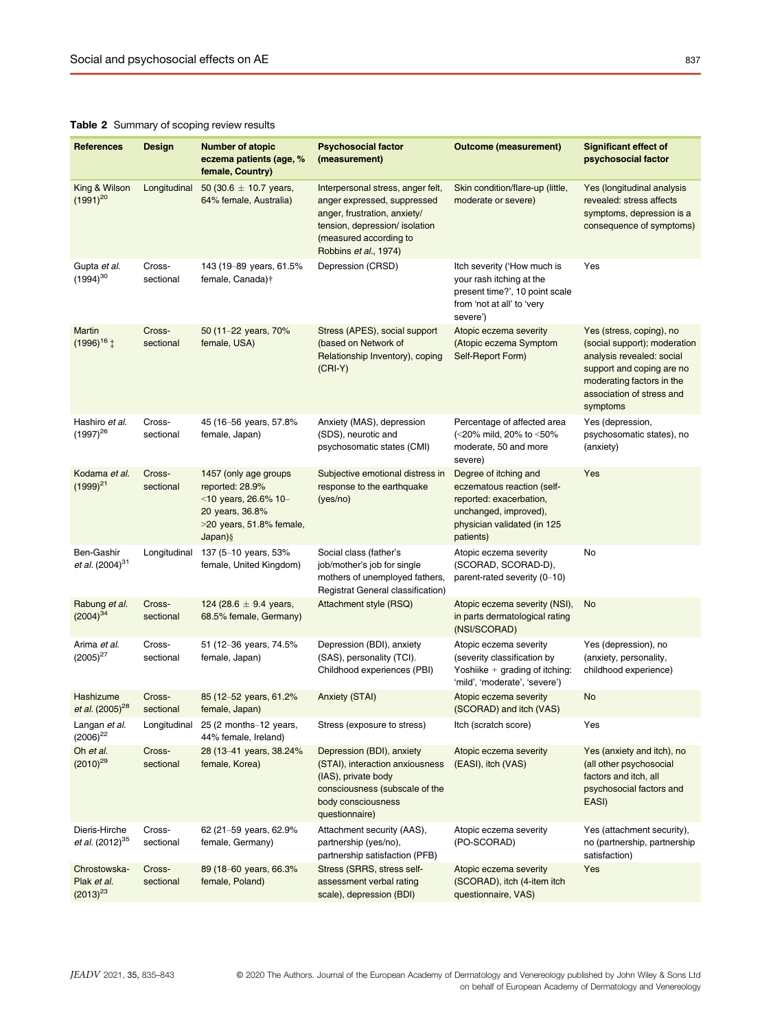## Table 2 Summary of scoping review results

| <b>References</b>                            | Design              | <b>Number of atopic</b><br>eczema patients (age, %<br>female, Country)                                                           | <b>Psychosocial factor</b><br>(measurement)                                                                                                                                           | <b>Outcome (measurement)</b>                                                                                                                        | <b>Significant effect of</b><br>psychosocial factor                                                                                                                                      |
|----------------------------------------------|---------------------|----------------------------------------------------------------------------------------------------------------------------------|---------------------------------------------------------------------------------------------------------------------------------------------------------------------------------------|-----------------------------------------------------------------------------------------------------------------------------------------------------|------------------------------------------------------------------------------------------------------------------------------------------------------------------------------------------|
| King & Wilson<br>$(1991)^{20}$               | Longitudinal        | 50 (30.6 $\pm$ 10.7 years,<br>64% female, Australia)                                                                             | Interpersonal stress, anger felt,<br>anger expressed, suppressed<br>anger, frustration, anxiety/<br>tension, depression/ isolation<br>(measured according to<br>Robbins et al., 1974) | Skin condition/flare-up (little,<br>moderate or severe)                                                                                             | Yes (longitudinal analysis<br>revealed: stress affects<br>symptoms, depression is a<br>consequence of symptoms)                                                                          |
| Gupta et al.<br>$(1994)^{30}$                | Cross-<br>sectional | 143 (19-89 years, 61.5%<br>female, Canada)†                                                                                      | Depression (CRSD)                                                                                                                                                                     | Itch severity ('How much is<br>your rash itching at the<br>present time?', 10 point scale<br>from 'not at all' to 'very<br>severe')                 | Yes                                                                                                                                                                                      |
| Martin<br>$(1996)^{16}$ $\ddagger$           | Cross-<br>sectional | 50 (11-22 years, 70%<br>female, USA)                                                                                             | Stress (APES), social support<br>(based on Network of<br>Relationship Inventory), coping<br>$(CRI-Y)$                                                                                 | Atopic eczema severity<br>(Atopic eczema Symptom<br>Self-Report Form)                                                                               | Yes (stress, coping), no<br>(social support); moderation<br>analysis revealed: social<br>support and coping are no<br>moderating factors in the<br>association of stress and<br>symptoms |
| Hashiro et al.<br>$(1997)^{26}$              | Cross-<br>sectional | 45 (16-56 years, 57.8%<br>female, Japan)                                                                                         | Anxiety (MAS), depression<br>(SDS), neurotic and<br>psychosomatic states (CMI)                                                                                                        | Percentage of affected area<br>(<20% mild, 20% to <50%<br>moderate, 50 and more<br>severe)                                                          | Yes (depression,<br>psychosomatic states), no<br>(anxiety)                                                                                                                               |
| Kodama et al.<br>$(1999)^{21}$               | Cross-<br>sectional | 1457 (only age groups<br>reported: 28.9%<br><10 years, 26.6% 10-<br>20 years, 36.8%<br>$>$ 20 years, 51.8% female,<br>$Japan)$ § | Subjective emotional distress in<br>response to the earthquake<br>(yes/no)                                                                                                            | Degree of itching and<br>eczematous reaction (self-<br>reported: exacerbation,<br>unchanged, improved),<br>physician validated (in 125<br>patients) | Yes                                                                                                                                                                                      |
| Ben-Gashir<br>et al. $(2004)^{31}$           | Longitudinal        | 137 (5-10 years, 53%<br>female, United Kingdom)                                                                                  | Social class (father's<br>job/mother's job for single<br>mothers of unemployed fathers,<br>Registrat General classification)                                                          | Atopic eczema severity<br>(SCORAD, SCORAD-D),<br>parent-rated severity (0-10)                                                                       | No                                                                                                                                                                                       |
| Rabung et al.<br>$(2004)^{34}$               | Cross-<br>sectional | 124 (28.6 $\pm$ 9.4 years,<br>68.5% female, Germany)                                                                             | Attachment style (RSQ)                                                                                                                                                                | Atopic eczema severity (NSI),<br>in parts dermatological rating<br>(NSI/SCORAD)                                                                     | No                                                                                                                                                                                       |
| Arima et al.<br>$(2005)^{27}$                | Cross-<br>sectional | 51 (12-36 years, 74.5%<br>female, Japan)                                                                                         | Depression (BDI), anxiety<br>(SAS), personality (TCI).<br>Childhood experiences (PBI)                                                                                                 | Atopic eczema severity<br>(severity classification by<br>Yoshiike $+$ grading of itching:<br>'mild', 'moderate', 'severe')                          | Yes (depression), no<br>(anxiety, personality,<br>childhood experience)                                                                                                                  |
| Hashizume<br>et al. (2005) <sup>28</sup>     | Cross-<br>sectional | 85 (12-52 years, 61.2%<br>female, Japan)                                                                                         | <b>Anxiety (STAI)</b>                                                                                                                                                                 | Atopic eczema severity<br>(SCORAD) and itch (VAS)                                                                                                   | No                                                                                                                                                                                       |
| Langan <i>et al.</i><br>$(2006)^{22}$        | Longitudinal        | 25 (2 months-12 years,<br>44% female, Ireland)                                                                                   | Stress (exposure to stress)                                                                                                                                                           | Itch (scratch score)                                                                                                                                | Yes                                                                                                                                                                                      |
| Oh et al.<br>$(2010)^{29}$                   | Cross-<br>sectional | 28 (13-41 years, 38.24%<br>female, Korea)                                                                                        | Depression (BDI), anxiety<br>(STAI), interaction anxiousness<br>(IAS), private body<br>consciousness (subscale of the<br>body consciousness<br>questionnaire)                         | Atopic eczema severity<br>(EASI), itch (VAS)                                                                                                        | Yes (anxiety and itch), no<br>(all other psychosocial<br>factors and itch, all<br>psychosocial factors and<br>EASI)                                                                      |
| Dieris-Hirche<br>et al. (2012) <sup>35</sup> | Cross-<br>sectional | 62 (21-59 years, 62.9%<br>female, Germany)                                                                                       | Attachment security (AAS),<br>partnership (yes/no),<br>partnership satisfaction (PFB)                                                                                                 | Atopic eczema severity<br>(PO-SCORAD)                                                                                                               | Yes (attachment security),<br>no (partnership, partnership<br>satisfaction)                                                                                                              |
| Chrostowska-<br>Plak et al.<br>$(2013)^{23}$ | Cross-<br>sectional | 89 (18-60 years, 66.3%<br>female, Poland)                                                                                        | Stress (SRRS, stress self-<br>assessment verbal rating<br>scale), depression (BDI)                                                                                                    | Atopic eczema severity<br>(SCORAD), itch (4-item itch<br>questionnaire, VAS)                                                                        | Yes                                                                                                                                                                                      |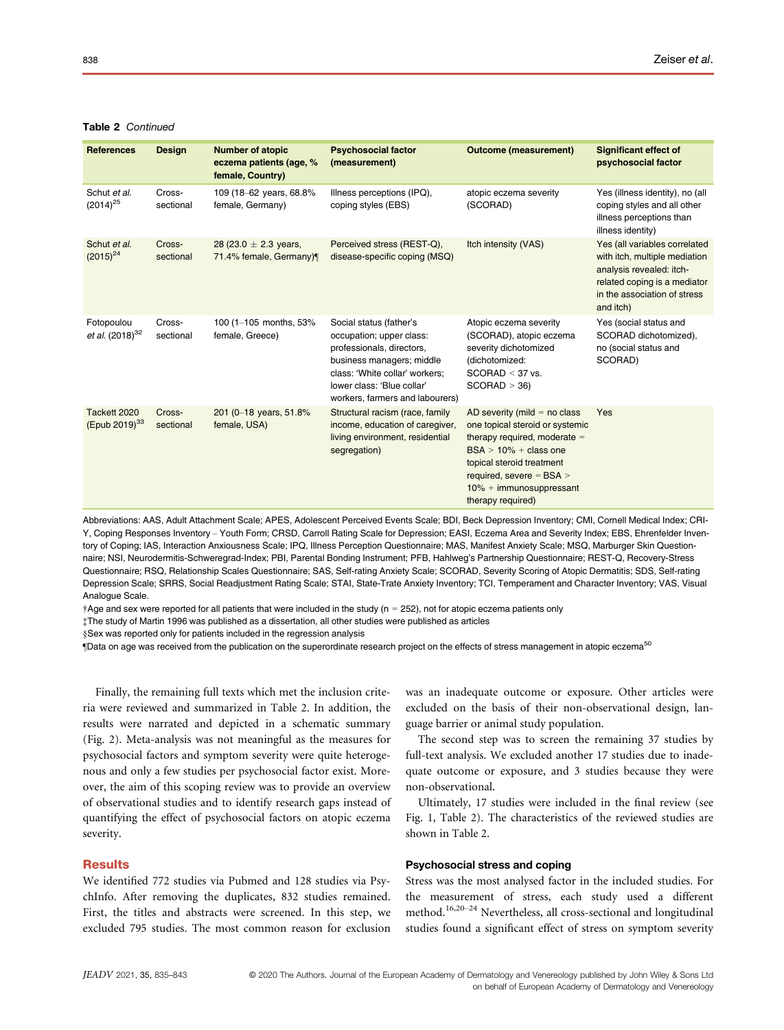## Table 2 Continued

| <b>References</b>                         | <b>Design</b>       | <b>Number of atopic</b><br>eczema patients (age, %<br>female, Country) | <b>Psychosocial factor</b><br>(measurement)                                                                                                                                                                      | <b>Outcome (measurement)</b>                                                                                                                                                                                                                   | <b>Significant effect of</b><br>psychosocial factor                                                                                                                     |
|-------------------------------------------|---------------------|------------------------------------------------------------------------|------------------------------------------------------------------------------------------------------------------------------------------------------------------------------------------------------------------|------------------------------------------------------------------------------------------------------------------------------------------------------------------------------------------------------------------------------------------------|-------------------------------------------------------------------------------------------------------------------------------------------------------------------------|
| Schut et al.<br>$(2014)^{25}$             | Cross-<br>sectional | 109 (18-62 years, 68.8%<br>female, Germany)                            | Illness perceptions (IPQ),<br>coping styles (EBS)                                                                                                                                                                | atopic eczema severity<br>(SCORAD)                                                                                                                                                                                                             | Yes (illness identity), no (all<br>coping styles and all other<br>illness perceptions than<br>illness identity)                                                         |
| Schut et al.<br>$(2015)^{24}$             | Cross-<br>sectional | 28 (23.0 $\pm$ 2.3 years,<br>71.4% female, Germany)¶                   | Perceived stress (REST-Q),<br>disease-specific coping (MSQ)                                                                                                                                                      | Itch intensity (VAS)                                                                                                                                                                                                                           | Yes (all variables correlated<br>with itch, multiple mediation<br>analysis revealed: itch-<br>related coping is a mediator<br>in the association of stress<br>and itch) |
| Fotopoulou<br>et al. (2018) <sup>32</sup> | Cross-<br>sectional | 100 (1-105 months, 53%<br>female, Greece)                              | Social status (father's<br>occupation; upper class:<br>professionals, directors,<br>business managers; middle<br>class: 'White collar' workers:<br>lower class: 'Blue collar'<br>workers, farmers and labourers) | Atopic eczema severity<br>(SCORAD), atopic eczema<br>severity dichotomized<br>(dichotomized:<br>$SCORAD < 37$ vs.<br>SCORAD > 36                                                                                                               | Yes (social status and<br>SCORAD dichotomized),<br>no (social status and<br>SCORAD)                                                                                     |
| Tackett 2020<br>(Epub 2019) <sup>33</sup> | Cross-<br>sectional | 201 (0-18 years, 51.8%<br>female, USA)                                 | Structural racism (race, family<br>income, education of caregiver,<br>living environment, residential<br>segregation)                                                                                            | AD severity (mild $=$ no class<br>one topical steroid or systemic<br>therapy required, moderate $=$<br>$BSA > 10\% + class$ one<br>topical steroid treatment<br>required, severe $=$ BSA $>$<br>$10% + immunosuppression$<br>therapy required) | Yes                                                                                                                                                                     |

Abbreviations: AAS, Adult Attachment Scale; APES, Adolescent Perceived Events Scale; BDI, Beck Depression Inventory; CMI, Cornell Medical Index; CRI-Y, Coping Responses Inventory – Youth Form; CRSD, Carroll Rating Scale for Depression; EASI, Eczema Area and Severity Index; EBS, Ehrenfelder Inventory of Coping; IAS, Interaction Anxiousness Scale; IPQ, Illness Perception Questionnaire; MAS, Manifest Anxiety Scale; MSQ, Marburger Skin Questionnaire; NSI, Neurodermitis-Schweregrad-Index; PBI, Parental Bonding Instrument; PFB, Hahlweg's Partnership Questionnaire; REST-Q, Recovery-Stress Questionnaire; RSQ, Relationship Scales Questionnaire; SAS, Self-rating Anxiety Scale; SCORAD, Severity Scoring of Atopic Dermatitis; SDS, Self-rating Depression Scale; SRRS, Social Readjustment Rating Scale; STAI, State-Trate Anxiety Inventory; TCI, Temperament and Character Inventory; VAS, Visual Analogue Scale.

 $\dagger$ Age and sex were reported for all patients that were included in the study ( $n = 252$ ), not for atopic eczema patients only

‡The study of Martin 1996 was published as a dissertation, all other studies were published as articles

§Sex was reported only for patients included in the regression analysis

¶Data on age was received from the publication on the superordinate research project on the effects of stress management in atopic eczema<sup>50</sup>

Finally, the remaining full texts which met the inclusion criteria were reviewed and summarized in Table 2. In addition, the results were narrated and depicted in a schematic summary (Fig. 2). Meta-analysis was not meaningful as the measures for psychosocial factors and symptom severity were quite heterogenous and only a few studies per psychosocial factor exist. Moreover, the aim of this scoping review was to provide an overview of observational studies and to identify research gaps instead of quantifying the effect of psychosocial factors on atopic eczema severity.

#### **Results**

We identified 772 studies via Pubmed and 128 studies via PsychInfo. After removing the duplicates, 832 studies remained. First, the titles and abstracts were screened. In this step, we excluded 795 studies. The most common reason for exclusion was an inadequate outcome or exposure. Other articles were excluded on the basis of their non-observational design, language barrier or animal study population.

The second step was to screen the remaining 37 studies by full-text analysis. We excluded another 17 studies due to inadequate outcome or exposure, and 3 studies because they were non-observational.

Ultimately, 17 studies were included in the final review (see Fig. 1, Table 2). The characteristics of the reviewed studies are shown in Table 2.

## Psychosocial stress and coping

Stress was the most analysed factor in the included studies. For the measurement of stress, each study used a different method.16,20–<sup>24</sup> Nevertheless, all cross-sectional and longitudinal studies found a significant effect of stress on symptom severity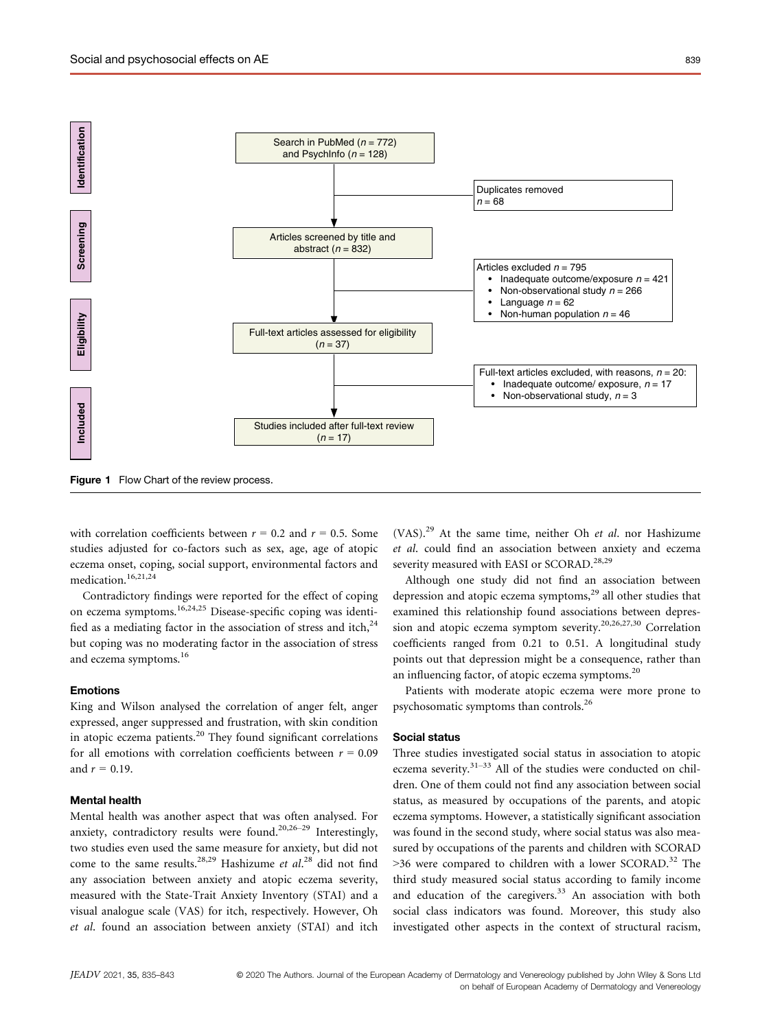

Figure 1 Flow Chart of the review process.

with correlation coefficients between  $r = 0.2$  and  $r = 0.5$ . Some studies adjusted for co-factors such as sex, age, age of atopic eczema onset, coping, social support, environmental factors and medication.<sup>16,21,24</sup>

Contradictory findings were reported for the effect of coping on eczema symptoms.16,24,25 Disease-specific coping was identified as a mediating factor in the association of stress and itch,<sup>24</sup> but coping was no moderating factor in the association of stress and eczema symptoms.<sup>16</sup>

#### Emotions

King and Wilson analysed the correlation of anger felt, anger expressed, anger suppressed and frustration, with skin condition in atopic eczema patients.<sup>20</sup> They found significant correlations for all emotions with correlation coefficients between  $r = 0.09$ and  $r = 0.19$ .

## Mental health

Mental health was another aspect that was often analysed. For anxiety, contradictory results were found.<sup>20,26-29</sup> Interestingly, two studies even used the same measure for anxiety, but did not come to the same results.<sup>28,29</sup> Hashizume et  $al.^{28}$  did not find any association between anxiety and atopic eczema severity, measured with the State-Trait Anxiety Inventory (STAI) and a visual analogue scale (VAS) for itch, respectively. However, Oh et al. found an association between anxiety (STAI) and itch  $(VAS).<sup>29</sup>$  At the same time, neither Oh *et al.* nor Hashizume et al. could find an association between anxiety and eczema severity measured with EASI or SCORAD.<sup>28,29</sup>

Although one study did not find an association between depression and atopic eczema symptoms, $29$  all other studies that examined this relationship found associations between depression and atopic eczema symptom severity.<sup>20,26,27,30</sup> Correlation coefficients ranged from 0.21 to 0.51. A longitudinal study points out that depression might be a consequence, rather than an influencing factor, of atopic eczema symptoms.<sup>20</sup>

Patients with moderate atopic eczema were more prone to psychosomatic symptoms than controls.26

#### Social status

Three studies investigated social status in association to atopic eczema severity.<sup>31–33</sup> All of the studies were conducted on children. One of them could not find any association between social status, as measured by occupations of the parents, and atopic eczema symptoms. However, a statistically significant association was found in the second study, where social status was also measured by occupations of the parents and children with SCORAD  $>$ 36 were compared to children with a lower SCORAD.<sup>32</sup> The third study measured social status according to family income and education of the caregivers. $33$  An association with both social class indicators was found. Moreover, this study also investigated other aspects in the context of structural racism,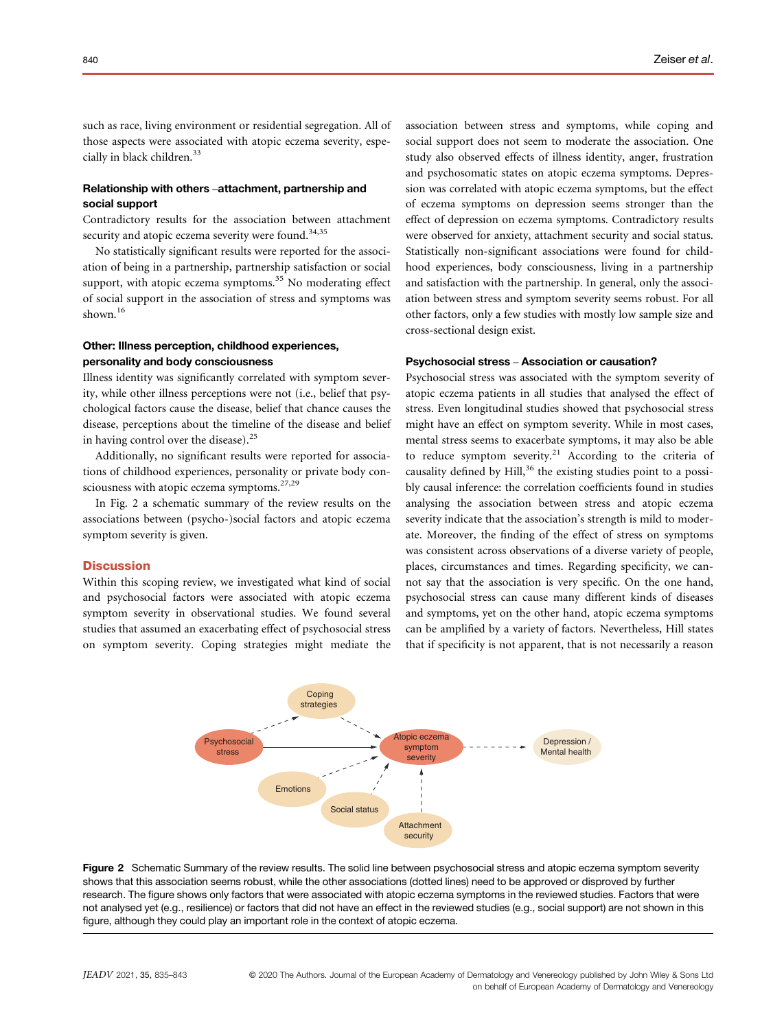such as race, living environment or residential segregation. All of those aspects were associated with atopic eczema severity, especially in black children.<sup>33</sup>

## Relationship with others –attachment, partnership and social support

Contradictory results for the association between attachment security and atopic eczema severity were found.<sup>34,35</sup>

No statistically significant results were reported for the association of being in a partnership, partnership satisfaction or social support, with atopic eczema symptoms.<sup>35</sup> No moderating effect of social support in the association of stress and symptoms was shown.<sup>16</sup>

## Other: Illness perception, childhood experiences, personality and body consciousness

Illness identity was significantly correlated with symptom severity, while other illness perceptions were not (i.e., belief that psychological factors cause the disease, belief that chance causes the disease, perceptions about the timeline of the disease and belief in having control over the disease). $^{25}$ 

Additionally, no significant results were reported for associations of childhood experiences, personality or private body consciousness with atopic eczema symptoms.<sup>27,29</sup>

In Fig. 2 a schematic summary of the review results on the associations between (psycho-)social factors and atopic eczema symptom severity is given.

### **Discussion**

Within this scoping review, we investigated what kind of social and psychosocial factors were associated with atopic eczema symptom severity in observational studies. We found several studies that assumed an exacerbating effect of psychosocial stress on symptom severity. Coping strategies might mediate the association between stress and symptoms, while coping and social support does not seem to moderate the association. One study also observed effects of illness identity, anger, frustration and psychosomatic states on atopic eczema symptoms. Depression was correlated with atopic eczema symptoms, but the effect of eczema symptoms on depression seems stronger than the effect of depression on eczema symptoms. Contradictory results were observed for anxiety, attachment security and social status. Statistically non-significant associations were found for childhood experiences, body consciousness, living in a partnership and satisfaction with the partnership. In general, only the association between stress and symptom severity seems robust. For all other factors, only a few studies with mostly low sample size and cross-sectional design exist.

#### Psychosocial stress – Association or causation?

Psychosocial stress was associated with the symptom severity of atopic eczema patients in all studies that analysed the effect of stress. Even longitudinal studies showed that psychosocial stress might have an effect on symptom severity. While in most cases, mental stress seems to exacerbate symptoms, it may also be able to reduce symptom severity.<sup>21</sup> According to the criteria of causality defined by  $Hill<sub>1</sub><sup>36</sup>$  the existing studies point to a possibly causal inference: the correlation coefficients found in studies analysing the association between stress and atopic eczema severity indicate that the association's strength is mild to moderate. Moreover, the finding of the effect of stress on symptoms was consistent across observations of a diverse variety of people, places, circumstances and times. Regarding specificity, we cannot say that the association is very specific. On the one hand, psychosocial stress can cause many different kinds of diseases and symptoms, yet on the other hand, atopic eczema symptoms can be amplified by a variety of factors. Nevertheless, Hill states that if specificity is not apparent, that is not necessarily a reason



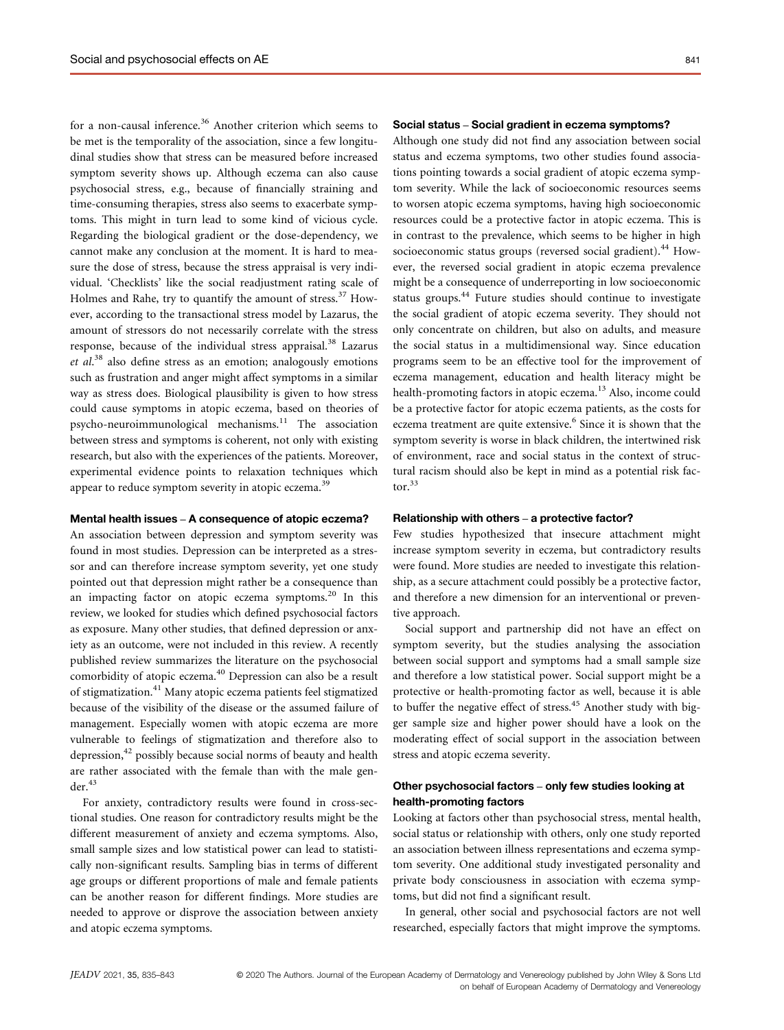for a non-causal inference.<sup>36</sup> Another criterion which seems to be met is the temporality of the association, since a few longitudinal studies show that stress can be measured before increased symptom severity shows up. Although eczema can also cause psychosocial stress, e.g., because of financially straining and time-consuming therapies, stress also seems to exacerbate symptoms. This might in turn lead to some kind of vicious cycle. Regarding the biological gradient or the dose-dependency, we cannot make any conclusion at the moment. It is hard to measure the dose of stress, because the stress appraisal is very individual. 'Checklists' like the social readjustment rating scale of Holmes and Rahe, try to quantify the amount of stress.<sup>37</sup> However, according to the transactional stress model by Lazarus, the amount of stressors do not necessarily correlate with the stress response, because of the individual stress appraisal.<sup>38</sup> Lazarus et al.<sup>38</sup> also define stress as an emotion; analogously emotions such as frustration and anger might affect symptoms in a similar way as stress does. Biological plausibility is given to how stress could cause symptoms in atopic eczema, based on theories of psycho-neuroimmunological mechanisms.<sup>11</sup> The association between stress and symptoms is coherent, not only with existing research, but also with the experiences of the patients. Moreover, experimental evidence points to relaxation techniques which appear to reduce symptom severity in atopic eczema.<sup>39</sup>

## Mental health issues – A consequence of atopic eczema?

An association between depression and symptom severity was found in most studies. Depression can be interpreted as a stressor and can therefore increase symptom severity, yet one study pointed out that depression might rather be a consequence than an impacting factor on atopic eczema symptoms. $^{20}$  In this review, we looked for studies which defined psychosocial factors as exposure. Many other studies, that defined depression or anxiety as an outcome, were not included in this review. A recently published review summarizes the literature on the psychosocial comorbidity of atopic eczema.<sup>40</sup> Depression can also be a result of stigmatization.<sup>41</sup> Many atopic eczema patients feel stigmatized because of the visibility of the disease or the assumed failure of management. Especially women with atopic eczema are more vulnerable to feelings of stigmatization and therefore also to depression, $42$  possibly because social norms of beauty and health are rather associated with the female than with the male gen $der<sup>43</sup>$ 

For anxiety, contradictory results were found in cross-sectional studies. One reason for contradictory results might be the different measurement of anxiety and eczema symptoms. Also, small sample sizes and low statistical power can lead to statistically non-significant results. Sampling bias in terms of different age groups or different proportions of male and female patients can be another reason for different findings. More studies are needed to approve or disprove the association between anxiety and atopic eczema symptoms.

## Social status – Social gradient in eczema symptoms?

Although one study did not find any association between social status and eczema symptoms, two other studies found associations pointing towards a social gradient of atopic eczema symptom severity. While the lack of socioeconomic resources seems to worsen atopic eczema symptoms, having high socioeconomic resources could be a protective factor in atopic eczema. This is in contrast to the prevalence, which seems to be higher in high socioeconomic status groups (reversed social gradient).<sup>44</sup> However, the reversed social gradient in atopic eczema prevalence might be a consequence of underreporting in low socioeconomic status groups.<sup>44</sup> Future studies should continue to investigate the social gradient of atopic eczema severity. They should not only concentrate on children, but also on adults, and measure the social status in a multidimensional way. Since education programs seem to be an effective tool for the improvement of eczema management, education and health literacy might be health-promoting factors in atopic eczema.<sup>13</sup> Also, income could be a protective factor for atopic eczema patients, as the costs for eczema treatment are quite extensive.<sup>6</sup> Since it is shown that the symptom severity is worse in black children, the intertwined risk of environment, race and social status in the context of structural racism should also be kept in mind as a potential risk factor. $33$ 

#### Relationship with others – a protective factor?

Few studies hypothesized that insecure attachment might increase symptom severity in eczema, but contradictory results were found. More studies are needed to investigate this relationship, as a secure attachment could possibly be a protective factor, and therefore a new dimension for an interventional or preventive approach.

Social support and partnership did not have an effect on symptom severity, but the studies analysing the association between social support and symptoms had a small sample size and therefore a low statistical power. Social support might be a protective or health-promoting factor as well, because it is able to buffer the negative effect of stress.<sup>45</sup> Another study with bigger sample size and higher power should have a look on the moderating effect of social support in the association between stress and atopic eczema severity.

## Other psychosocial factors – only few studies looking at health-promoting factors

Looking at factors other than psychosocial stress, mental health, social status or relationship with others, only one study reported an association between illness representations and eczema symptom severity. One additional study investigated personality and private body consciousness in association with eczema symptoms, but did not find a significant result.

In general, other social and psychosocial factors are not well researched, especially factors that might improve the symptoms.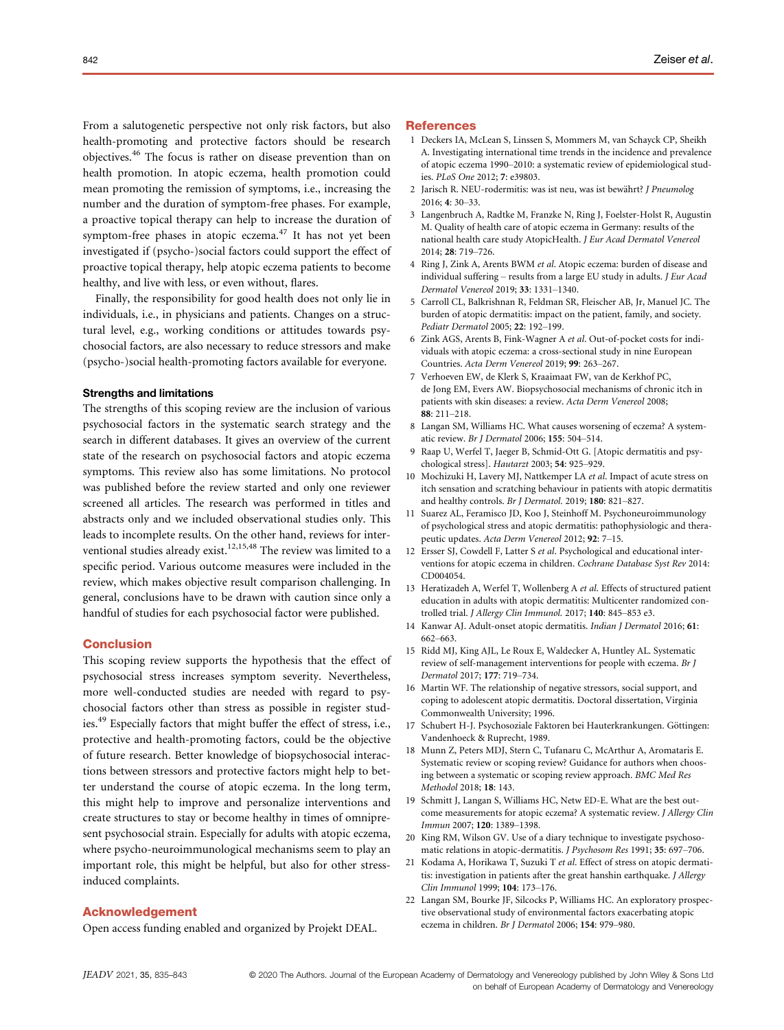From a salutogenetic perspective not only risk factors, but also health-promoting and protective factors should be research objectives.<sup>46</sup> The focus is rather on disease prevention than on health promotion. In atopic eczema, health promotion could mean promoting the remission of symptoms, i.e., increasing the number and the duration of symptom-free phases. For example, a proactive topical therapy can help to increase the duration of symptom-free phases in atopic eczema.<sup>47</sup> It has not yet been investigated if (psycho-)social factors could support the effect of proactive topical therapy, help atopic eczema patients to become healthy, and live with less, or even without, flares.

Finally, the responsibility for good health does not only lie in individuals, i.e., in physicians and patients. Changes on a structural level, e.g., working conditions or attitudes towards psychosocial factors, are also necessary to reduce stressors and make (psycho-)social health-promoting factors available for everyone.

#### Strengths and limitations

The strengths of this scoping review are the inclusion of various psychosocial factors in the systematic search strategy and the search in different databases. It gives an overview of the current state of the research on psychosocial factors and atopic eczema symptoms. This review also has some limitations. No protocol was published before the review started and only one reviewer screened all articles. The research was performed in titles and abstracts only and we included observational studies only. This leads to incomplete results. On the other hand, reviews for interventional studies already exist.<sup>12,15,48</sup> The review was limited to a specific period. Various outcome measures were included in the review, which makes objective result comparison challenging. In general, conclusions have to be drawn with caution since only a handful of studies for each psychosocial factor were published.

#### Conclusion

This scoping review supports the hypothesis that the effect of psychosocial stress increases symptom severity. Nevertheless, more well-conducted studies are needed with regard to psychosocial factors other than stress as possible in register studies.<sup>49</sup> Especially factors that might buffer the effect of stress, i.e., protective and health-promoting factors, could be the objective of future research. Better knowledge of biopsychosocial interactions between stressors and protective factors might help to better understand the course of atopic eczema. In the long term, this might help to improve and personalize interventions and create structures to stay or become healthy in times of omnipresent psychosocial strain. Especially for adults with atopic eczema, where psycho-neuroimmunological mechanisms seem to play an important role, this might be helpful, but also for other stressinduced complaints.

#### Acknowledgement

Open access funding enabled and organized by Projekt DEAL.

#### **References**

- 1 Deckers IA, McLean S, Linssen S, Mommers M, van Schayck CP, Sheikh A. Investigating international time trends in the incidence and prevalence of atopic eczema 1990–2010: a systematic review of epidemiological studies. PLoS One 2012; 7: e39803.
- 2 Jarisch R. NEU-rodermitis: was ist neu, was ist bewährt? J Pneumolog 2016; 4: 30–33.
- 3 Langenbruch A, Radtke M, Franzke N, Ring J, Foelster-Holst R, Augustin M. Quality of health care of atopic eczema in Germany: results of the national health care study AtopicHealth. J Eur Acad Dermatol Venereol 2014; 28: 719–726.
- 4 Ring J, Zink A, Arents BWM et al. Atopic eczema: burden of disease and individual suffering – results from a large EU study in adults. J Eur Acad Dermatol Venereol 2019; 33: 1331–1340.
- 5 Carroll CL, Balkrishnan R, Feldman SR, Fleischer AB, Jr, Manuel JC. The burden of atopic dermatitis: impact on the patient, family, and society. Pediatr Dermatol 2005; 22: 192–199.
- 6 Zink AGS, Arents B, Fink-Wagner A et al. Out-of-pocket costs for individuals with atopic eczema: a cross-sectional study in nine European Countries. Acta Derm Venereol 2019; 99: 263–267.
- 7 Verhoeven EW, de Klerk S, Kraaimaat FW, van de Kerkhof PC, de Jong EM, Evers AW. Biopsychosocial mechanisms of chronic itch in patients with skin diseases: a review. Acta Derm Venereol 2008; 88: 211–218.
- 8 Langan SM, Williams HC. What causes worsening of eczema? A systematic review. Br J Dermatol 2006; 155: 504–514.
- 9 Raap U, Werfel T, Jaeger B, Schmid-Ott G. [Atopic dermatitis and psychological stress]. Hautarzt 2003; 54: 925–929.
- 10 Mochizuki H, Lavery MJ, Nattkemper LA et al. Impact of acute stress on itch sensation and scratching behaviour in patients with atopic dermatitis and healthy controls. Br J Dermatol. 2019; 180: 821-827.
- 11 Suarez AL, Feramisco JD, Koo J, Steinhoff M. Psychoneuroimmunology of psychological stress and atopic dermatitis: pathophysiologic and therapeutic updates. Acta Derm Venereol 2012; 92: 7–15.
- 12 Ersser SJ, Cowdell F, Latter S et al. Psychological and educational interventions for atopic eczema in children. Cochrane Database Syst Rev 2014: CD004054.
- 13 Heratizadeh A, Werfel T, Wollenberg A et al. Effects of structured patient education in adults with atopic dermatitis: Multicenter randomized controlled trial. J Allergy Clin Immunol. 2017; 140: 845–853 e3.
- 14 Kanwar AJ. Adult-onset atopic dermatitis. Indian J Dermatol 2016; 61: 662–663.
- 15 Ridd MJ, King AJL, Le Roux E, Waldecker A, Huntley AL. Systematic review of self-management interventions for people with eczema. Br J Dermatol 2017; 177: 719–734.
- 16 Martin WF. The relationship of negative stressors, social support, and coping to adolescent atopic dermatitis. Doctoral dissertation, Virginia Commonwealth University; 1996.
- 17 Schubert H-J. Psychosoziale Faktoren bei Hauterkrankungen. Göttingen: Vandenhoeck & Ruprecht, 1989.
- 18 Munn Z, Peters MDJ, Stern C, Tufanaru C, McArthur A, Aromataris E. Systematic review or scoping review? Guidance for authors when choosing between a systematic or scoping review approach. BMC Med Res Methodol 2018; 18: 143.
- 19 Schmitt J, Langan S, Williams HC, Netw ED-E. What are the best outcome measurements for atopic eczema? A systematic review. J Allergy Clin Immun 2007; 120: 1389–1398.
- 20 King RM, Wilson GV. Use of a diary technique to investigate psychosomatic relations in atopic-dermatitis. J Psychosom Res 1991; 35: 697–706.
- 21 Kodama A, Horikawa T, Suzuki T et al. Effect of stress on atopic dermatitis: investigation in patients after the great hanshin earthquake. J Allergy Clin Immunol 1999; 104: 173–176.
- 22 Langan SM, Bourke JF, Silcocks P, Williams HC. An exploratory prospective observational study of environmental factors exacerbating atopic eczema in children. Br J Dermatol 2006; 154: 979–980.